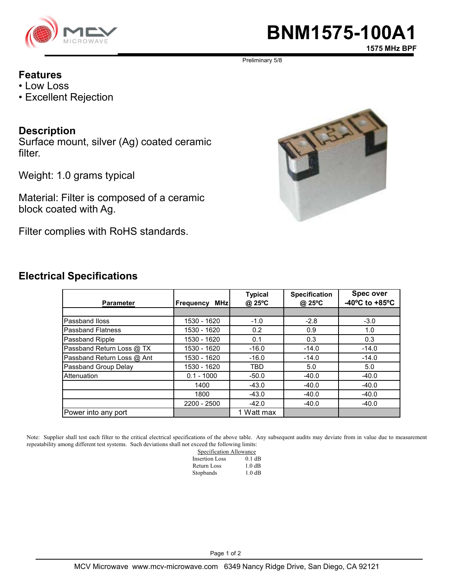

# **BNM1575-100A1**

**1575 MHz BPF**

Preliminary 5/8

#### **Features**

- Low Loss
- Excellent Rejection

### **Description**

Surface mount, silver (Ag) coated ceramic filter.

Weight: 1.0 grams typical

Material: Filter is composed of a ceramic block coated with Ag.

Filter complies with RoHS standards.



| <b>Electrical Specifications</b> |
|----------------------------------|
|                                  |

| <b>Parameter</b>           | <b>MHz</b><br><b>Frequency</b> | <b>Typical</b><br>@ 25°C | <b>Specification</b><br>@ 25°C | <b>Spec over</b><br>-40 $^{\circ}$ C to +85 $^{\circ}$ C |
|----------------------------|--------------------------------|--------------------------|--------------------------------|----------------------------------------------------------|
|                            |                                |                          |                                |                                                          |
| Passband Iloss             | 1530 - 1620                    | $-1.0$                   | $-2.8$                         | $-3.0$                                                   |
| <b>Passband Flatness</b>   | 1530 - 1620                    | 0.2                      | 0.9                            | 1.0                                                      |
| Passband Ripple            | 1530 - 1620                    | 0.1                      | 0.3                            | 0.3                                                      |
| Passband Return Loss @ TX  | 1530 - 1620                    | $-16.0$                  | $-14.0$                        | $-14.0$                                                  |
| Passband Return Loss @ Ant | 1530 - 1620                    | $-16.0$                  | $-14.0$                        | $-14.0$                                                  |
| Passband Group Delay       | 1530 - 1620                    | <b>TBD</b>               | 5.0                            | 5.0                                                      |
| Attenuation                | $0.1 - 1000$                   | $-50.0$                  | $-40.0$                        | $-40.0$                                                  |
|                            | 1400                           | $-43.0$                  | $-40.0$                        | $-40.0$                                                  |
|                            | 1800                           | $-43.0$                  | $-40.0$                        | $-40.0$                                                  |
|                            | 2200 - 2500                    | $-42.0$                  | $-40.0$                        | $-40.0$                                                  |
| Power into any port        |                                | 1 Watt max               |                                |                                                          |

Note: Supplier shall test each filter to the critical electrical specifications of the above table. Any subsequent audits may deviate from in value due to measurement repeatability among different test systems. Such deviations shall not exceed the following limits:

| Specification Allowance |          |  |
|-------------------------|----------|--|
| <b>Insertion Loss</b>   | $0.1$ dB |  |
| Return Loss             | 1.0 dB   |  |
| Stopbands               | 1.0 dB   |  |